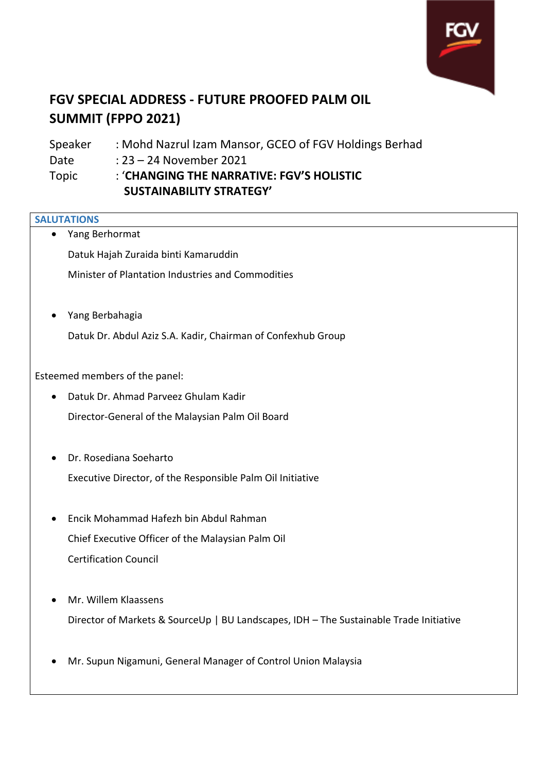

## **FGV SPECIAL ADDRESS - FUTURE PROOFED PALM OIL SUMMIT (FPPO 2021)**

Speaker : Mohd Nazrul Izam Mansor, GCEO of FGV Holdings Berhad Date : 23 – 24 November 2021 Topic : '**CHANGING THE NARRATIVE: FGV'S HOLISTIC SUSTAINABILITY STRATEGY'** 

## **SALUTATIONS**

| Yang Berhormat                                                                         |
|----------------------------------------------------------------------------------------|
| Datuk Hajah Zuraida binti Kamaruddin                                                   |
| Minister of Plantation Industries and Commodities                                      |
|                                                                                        |
| Yang Berbahagia                                                                        |
| Datuk Dr. Abdul Aziz S.A. Kadir, Chairman of Confexhub Group                           |
|                                                                                        |
| Esteemed members of the panel:                                                         |
| Datuk Dr. Ahmad Parveez Ghulam Kadir                                                   |
| Director-General of the Malaysian Palm Oil Board                                       |
|                                                                                        |
| Dr. Rosediana Soeharto                                                                 |
| Executive Director, of the Responsible Palm Oil Initiative                             |
|                                                                                        |
| Encik Mohammad Hafezh bin Abdul Rahman                                                 |
| Chief Executive Officer of the Malaysian Palm Oil                                      |
| <b>Certification Council</b>                                                           |
|                                                                                        |
| Mr. Willem Klaassens                                                                   |
| Director of Markets & SourceUp   BU Landscapes, IDH - The Sustainable Trade Initiative |
|                                                                                        |
| Mr. Supun Nigamuni, General Manager of Control Union Malaysia                          |
|                                                                                        |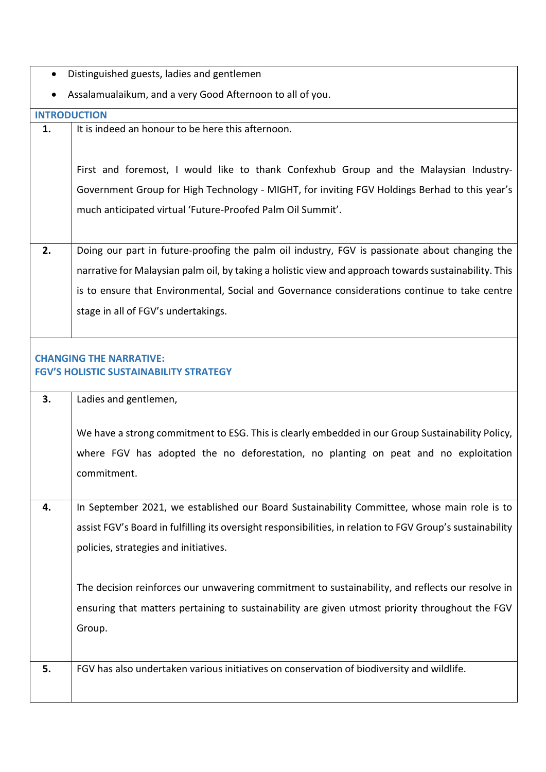- Distinguished guests, ladies and gentlemen
- Assalamualaikum, and a very Good Afternoon to all of you.

|                     | Assaiannaalaikuni, ahu a very Good Antennoon to all or you.                                                |
|---------------------|------------------------------------------------------------------------------------------------------------|
| <b>INTRODUCTION</b> |                                                                                                            |
| 1.                  | It is indeed an honour to be here this afternoon.                                                          |
|                     |                                                                                                            |
|                     | First and foremost, I would like to thank Confexhub Group and the Malaysian Industry-                      |
|                     | Government Group for High Technology - MIGHT, for inviting FGV Holdings Berhad to this year's              |
|                     | much anticipated virtual 'Future-Proofed Palm Oil Summit'.                                                 |
|                     |                                                                                                            |
| 2.                  | Doing our part in future-proofing the palm oil industry, FGV is passionate about changing the              |
|                     | narrative for Malaysian palm oil, by taking a holistic view and approach towards sustainability. This      |
|                     | is to ensure that Environmental, Social and Governance considerations continue to take centre              |
|                     | stage in all of FGV's undertakings.                                                                        |
|                     |                                                                                                            |
|                     |                                                                                                            |
|                     | <b>CHANGING THE NARRATIVE:</b><br><b>FGV'S HOLISTIC SUSTAINABILITY STRATEGY</b>                            |
|                     |                                                                                                            |
| 3.                  | Ladies and gentlemen,                                                                                      |
|                     |                                                                                                            |
|                     | We have a strong commitment to ESG. This is clearly embedded in our Group Sustainability Policy,           |
|                     | where FGV has adopted the no deforestation, no planting on peat and no exploitation                        |
|                     | commitment.                                                                                                |
|                     |                                                                                                            |
|                     | In September 2021, we established our Board Sustainability Committee, whose main role is to                |
|                     | assist FGV's Board in fulfilling its oversight responsibilities, in relation to FGV Group's sustainability |
|                     | policies, strategies and initiatives.                                                                      |
|                     |                                                                                                            |
|                     | The decision reinforces our unwavering commitment to sustainability, and reflects our resolve in           |
|                     | ensuring that matters pertaining to sustainability are given utmost priority throughout the FGV            |
|                     | Group.                                                                                                     |
|                     |                                                                                                            |
| 5.                  | FGV has also undertaken various initiatives on conservation of biodiversity and wildlife.                  |
|                     |                                                                                                            |
|                     |                                                                                                            |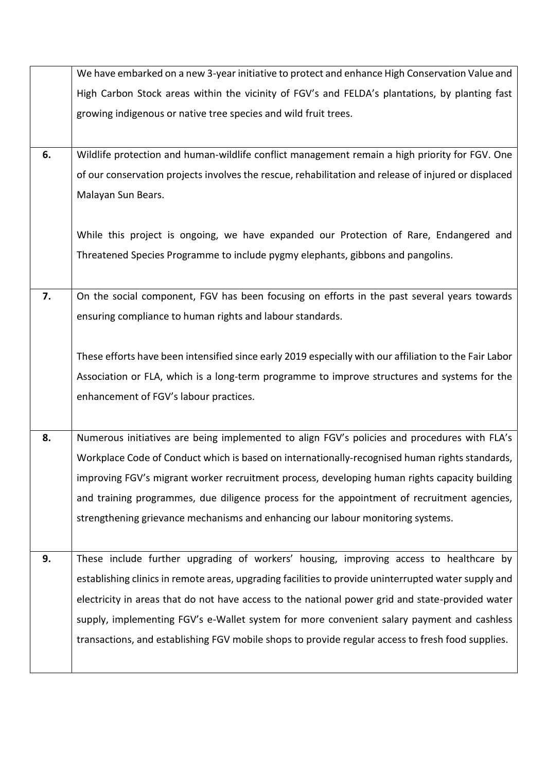|    | We have embarked on a new 3-year initiative to protect and enhance High Conservation Value and         |
|----|--------------------------------------------------------------------------------------------------------|
|    | High Carbon Stock areas within the vicinity of FGV's and FELDA's plantations, by planting fast         |
|    | growing indigenous or native tree species and wild fruit trees.                                        |
|    |                                                                                                        |
| 6. | Wildlife protection and human-wildlife conflict management remain a high priority for FGV. One         |
|    | of our conservation projects involves the rescue, rehabilitation and release of injured or displaced   |
|    | Malayan Sun Bears.                                                                                     |
|    |                                                                                                        |
|    | While this project is ongoing, we have expanded our Protection of Rare, Endangered and                 |
|    | Threatened Species Programme to include pygmy elephants, gibbons and pangolins.                        |
|    |                                                                                                        |
| 7. | On the social component, FGV has been focusing on efforts in the past several years towards            |
|    | ensuring compliance to human rights and labour standards.                                              |
|    |                                                                                                        |
|    | These efforts have been intensified since early 2019 especially with our affiliation to the Fair Labor |
|    | Association or FLA, which is a long-term programme to improve structures and systems for the           |
|    | enhancement of FGV's labour practices.                                                                 |
|    |                                                                                                        |
| 8. | Numerous initiatives are being implemented to align FGV's policies and procedures with FLA's           |
|    | Workplace Code of Conduct which is based on internationally-recognised human rights standards,         |
|    | improving FGV's migrant worker recruitment process, developing human rights capacity building          |
|    | and training programmes, due diligence process for the appointment of recruitment agencies,            |
|    | strengthening grievance mechanisms and enhancing our labour monitoring systems.                        |
|    |                                                                                                        |
| 9. | These include further upgrading of workers' housing, improving access to healthcare by                 |
|    | establishing clinics in remote areas, upgrading facilities to provide uninterrupted water supply and   |
|    | electricity in areas that do not have access to the national power grid and state-provided water       |
|    | supply, implementing FGV's e-Wallet system for more convenient salary payment and cashless             |
|    | transactions, and establishing FGV mobile shops to provide regular access to fresh food supplies.      |
|    |                                                                                                        |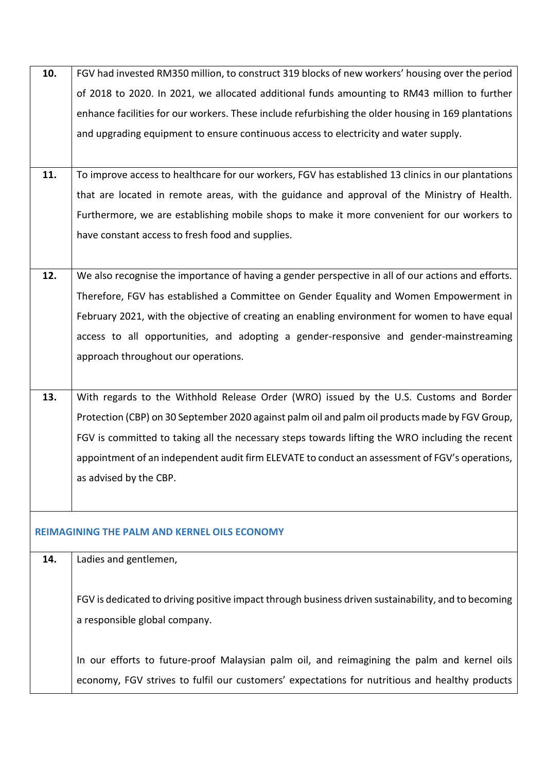| 10. | FGV had invested RM350 million, to construct 319 blocks of new workers' housing over the period     |
|-----|-----------------------------------------------------------------------------------------------------|
|     | of 2018 to 2020. In 2021, we allocated additional funds amounting to RM43 million to further        |
|     | enhance facilities for our workers. These include refurbishing the older housing in 169 plantations |
|     | and upgrading equipment to ensure continuous access to electricity and water supply.                |
|     |                                                                                                     |
| 11. | To improve access to healthcare for our workers, FGV has established 13 clinics in our plantations  |
|     | that are located in remote areas, with the guidance and approval of the Ministry of Health.         |
|     | Furthermore, we are establishing mobile shops to make it more convenient for our workers to         |
|     | have constant access to fresh food and supplies.                                                    |
|     |                                                                                                     |
| 12. | We also recognise the importance of having a gender perspective in all of our actions and efforts.  |
|     | Therefore, FGV has established a Committee on Gender Equality and Women Empowerment in              |
|     | February 2021, with the objective of creating an enabling environment for women to have equal       |
|     | access to all opportunities, and adopting a gender-responsive and gender-mainstreaming              |
|     | approach throughout our operations.                                                                 |
|     |                                                                                                     |
| 13. | With regards to the Withhold Release Order (WRO) issued by the U.S. Customs and Border              |
|     | Protection (CBP) on 30 September 2020 against palm oil and palm oil products made by FGV Group,     |
|     | FGV is committed to taking all the necessary steps towards lifting the WRO including the recent     |
|     | appointment of an independent audit firm ELEVATE to conduct an assessment of FGV's operations,      |
|     | as advised by the CBP.                                                                              |
|     |                                                                                                     |
|     |                                                                                                     |
|     | <b>REIMAGINING THE PALM AND KERNEL OILS ECONOMY</b>                                                 |
| 14. | Ladies and gentlemen,                                                                               |
|     |                                                                                                     |
|     | FGV is dedicated to driving positive impact through business driven sustainability, and to becoming |
|     | a responsible global company.                                                                       |
|     |                                                                                                     |
|     | In our efforts to future-proof Malaysian palm oil, and reimagining the palm and kernel oils         |
|     | economy, FGV strives to fulfil our customers' expectations for nutritious and healthy products      |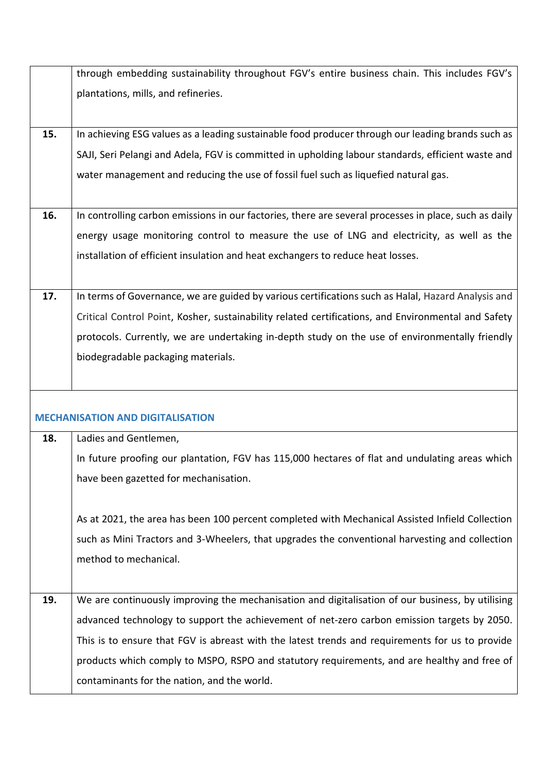|     | through embedding sustainability throughout FGV's entire business chain. This includes FGV's          |
|-----|-------------------------------------------------------------------------------------------------------|
|     | plantations, mills, and refineries.                                                                   |
|     |                                                                                                       |
| 15. | In achieving ESG values as a leading sustainable food producer through our leading brands such as     |
|     | SAJI, Seri Pelangi and Adela, FGV is committed in upholding labour standards, efficient waste and     |
|     | water management and reducing the use of fossil fuel such as liquefied natural gas.                   |
|     |                                                                                                       |
| 16. | In controlling carbon emissions in our factories, there are several processes in place, such as daily |
|     | energy usage monitoring control to measure the use of LNG and electricity, as well as the             |
|     | installation of efficient insulation and heat exchangers to reduce heat losses.                       |
|     |                                                                                                       |
| 17. | In terms of Governance, we are guided by various certifications such as Halal, Hazard Analysis and    |
|     | Critical Control Point, Kosher, sustainability related certifications, and Environmental and Safety   |
|     | protocols. Currently, we are undertaking in-depth study on the use of environmentally friendly        |
|     | biodegradable packaging materials.                                                                    |
|     |                                                                                                       |
|     |                                                                                                       |
|     | <b>MECHANISATION AND DIGITALISATION</b>                                                               |
| 18. | Ladies and Gentlemen,                                                                                 |
|     | In future proofing our plantation, FGV has 115,000 hectares of flat and undulating areas which        |
|     | have been gazetted for mechanisation.                                                                 |
|     |                                                                                                       |
|     | As at 2021, the area has been 100 percent completed with Mechanical Assisted Infield Collection       |
|     | such as Mini Tractors and 3-Wheelers, that upgrades the conventional harvesting and collection        |
|     | method to mechanical.                                                                                 |
|     |                                                                                                       |
| 19. | We are continuously improving the mechanisation and digitalisation of our business, by utilising      |
|     | advanced technology to support the achievement of net-zero carbon emission targets by 2050.           |
|     | This is to ensure that FGV is abreast with the latest trends and requirements for us to provide       |
|     | products which comply to MSPO, RSPO and statutory requirements, and are healthy and free of           |
|     |                                                                                                       |
|     | contaminants for the nation, and the world.                                                           |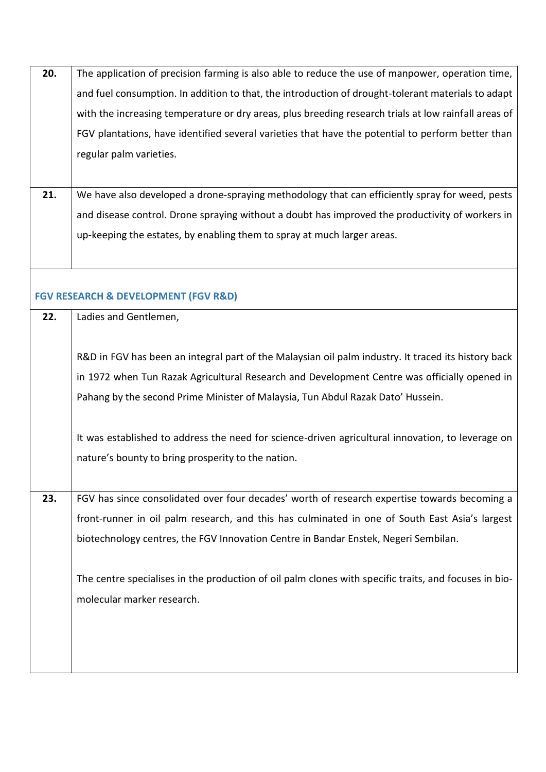| 20. | The application of precision farming is also able to reduce the use of manpower, operation time,      |
|-----|-------------------------------------------------------------------------------------------------------|
|     | and fuel consumption. In addition to that, the introduction of drought-tolerant materials to adapt    |
|     | with the increasing temperature or dry areas, plus breeding research trials at low rainfall areas of  |
|     | FGV plantations, have identified several varieties that have the potential to perform better than     |
|     | regular palm varieties.                                                                               |
|     |                                                                                                       |
| 21. | We have also developed a drone-spraying methodology that can efficiently spray for weed, pests        |
|     | and disease control. Drone spraying without a doubt has improved the productivity of workers in       |
|     | up-keeping the estates, by enabling them to spray at much larger areas.                               |
|     |                                                                                                       |
|     |                                                                                                       |
|     | <b>FGV RESEARCH &amp; DEVELOPMENT (FGV R&amp;D)</b>                                                   |
| 22. | Ladies and Gentlemen,                                                                                 |
|     |                                                                                                       |
|     | R&D in FGV has been an integral part of the Malaysian oil palm industry. It traced its history back   |
|     | in 1972 when Tun Razak Agricultural Research and Development Centre was officially opened in          |
|     | Pahang by the second Prime Minister of Malaysia, Tun Abdul Razak Dato' Hussein.                       |
|     |                                                                                                       |
|     | It was established to address the need for science-driven agricultural innovation, to leverage on     |
|     | nature's bounty to bring prosperity to the nation.                                                    |
|     |                                                                                                       |
| 23. | FGV has since consolidated over four decades' worth of research expertise towards becoming a          |
|     | front-runner in oil palm research, and this has culminated in one of South East Asia's largest        |
|     | biotechnology centres, the FGV Innovation Centre in Bandar Enstek, Negeri Sembilan.                   |
|     |                                                                                                       |
|     | The centre specialises in the production of oil palm clones with specific traits, and focuses in bio- |
|     | molecular marker research.                                                                            |
|     |                                                                                                       |
|     |                                                                                                       |
|     |                                                                                                       |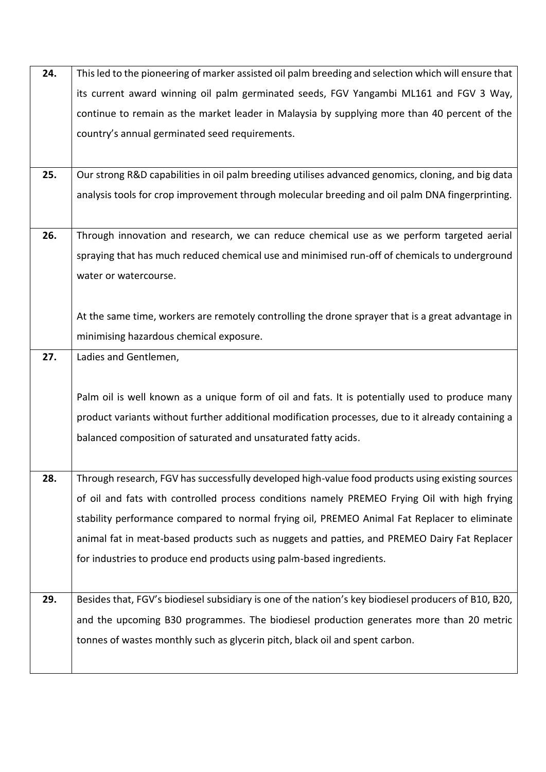| 24. | This led to the pioneering of marker assisted oil palm breeding and selection which will ensure that |
|-----|------------------------------------------------------------------------------------------------------|
|     | its current award winning oil palm germinated seeds, FGV Yangambi ML161 and FGV 3 Way,               |
|     | continue to remain as the market leader in Malaysia by supplying more than 40 percent of the         |
|     | country's annual germinated seed requirements.                                                       |
|     |                                                                                                      |
| 25. | Our strong R&D capabilities in oil palm breeding utilises advanced genomics, cloning, and big data   |
|     | analysis tools for crop improvement through molecular breeding and oil palm DNA fingerprinting.      |
|     |                                                                                                      |
| 26. | Through innovation and research, we can reduce chemical use as we perform targeted aerial            |
|     | spraying that has much reduced chemical use and minimised run-off of chemicals to underground        |
|     | water or watercourse.                                                                                |
|     |                                                                                                      |
|     | At the same time, workers are remotely controlling the drone sprayer that is a great advantage in    |
|     | minimising hazardous chemical exposure.                                                              |
| 27. | Ladies and Gentlemen,                                                                                |
|     |                                                                                                      |
|     | Palm oil is well known as a unique form of oil and fats. It is potentially used to produce many      |
|     | product variants without further additional modification processes, due to it already containing a   |
|     | balanced composition of saturated and unsaturated fatty acids.                                       |
|     |                                                                                                      |
| 28. | Through research, FGV has successfully developed high-value food products using existing sources     |
|     | of oil and fats with controlled process conditions namely PREMEO Frying Oil with high frying         |
|     | stability performance compared to normal frying oil, PREMEO Animal Fat Replacer to eliminate         |
|     | animal fat in meat-based products such as nuggets and patties, and PREMEO Dairy Fat Replacer         |
|     | for industries to produce end products using palm-based ingredients.                                 |
|     |                                                                                                      |
| 29. | Besides that, FGV's biodiesel subsidiary is one of the nation's key biodiesel producers of B10, B20, |
|     | and the upcoming B30 programmes. The biodiesel production generates more than 20 metric              |
|     | tonnes of wastes monthly such as glycerin pitch, black oil and spent carbon.                         |
|     |                                                                                                      |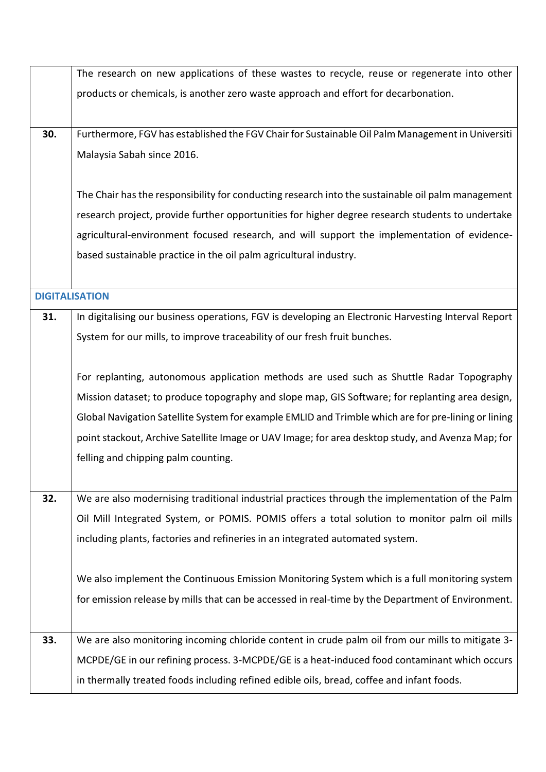|     | The research on new applications of these wastes to recycle, reuse or regenerate into other         |
|-----|-----------------------------------------------------------------------------------------------------|
|     | products or chemicals, is another zero waste approach and effort for decarbonation.                 |
|     |                                                                                                     |
| 30. | Furthermore, FGV has established the FGV Chair for Sustainable Oil Palm Management in Universiti    |
|     | Malaysia Sabah since 2016.                                                                          |
|     |                                                                                                     |
|     | The Chair has the responsibility for conducting research into the sustainable oil palm management   |
|     | research project, provide further opportunities for higher degree research students to undertake    |
|     | agricultural-environment focused research, and will support the implementation of evidence-         |
|     | based sustainable practice in the oil palm agricultural industry.                                   |
|     |                                                                                                     |
|     | <b>DIGITALISATION</b>                                                                               |
| 31. | In digitalising our business operations, FGV is developing an Electronic Harvesting Interval Report |
|     | System for our mills, to improve traceability of our fresh fruit bunches.                           |
|     |                                                                                                     |
|     | For replanting, autonomous application methods are used such as Shuttle Radar Topography            |
|     | Mission dataset; to produce topography and slope map, GIS Software; for replanting area design,     |
|     | Global Navigation Satellite System for example EMLID and Trimble which are for pre-lining or lining |
|     | point stackout, Archive Satellite Image or UAV Image; for area desktop study, and Avenza Map; for   |
|     | felling and chipping palm counting.                                                                 |
|     |                                                                                                     |
| 32. | We are also modernising traditional industrial practices through the implementation of the Palm     |
|     | Oil Mill Integrated System, or POMIS. POMIS offers a total solution to monitor palm oil mills       |
|     | including plants, factories and refineries in an integrated automated system.                       |
|     |                                                                                                     |
|     | We also implement the Continuous Emission Monitoring System which is a full monitoring system       |
|     | for emission release by mills that can be accessed in real-time by the Department of Environment.   |
|     |                                                                                                     |
| 33. | We are also monitoring incoming chloride content in crude palm oil from our mills to mitigate 3-    |
|     | MCPDE/GE in our refining process. 3-MCPDE/GE is a heat-induced food contaminant which occurs        |
|     | in thermally treated foods including refined edible oils, bread, coffee and infant foods.           |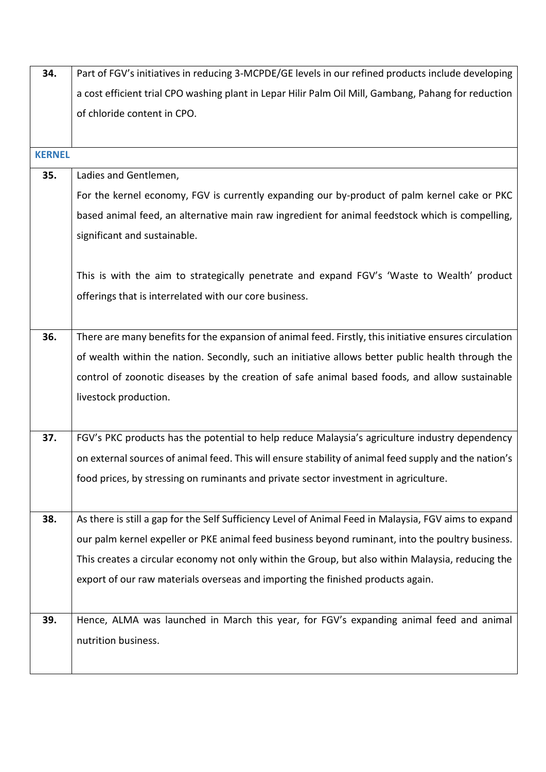| 34.           | Part of FGV's initiatives in reducing 3-MCPDE/GE levels in our refined products include developing     |
|---------------|--------------------------------------------------------------------------------------------------------|
|               | a cost efficient trial CPO washing plant in Lepar Hilir Palm Oil Mill, Gambang, Pahang for reduction   |
|               | of chloride content in CPO.                                                                            |
|               |                                                                                                        |
| <b>KERNEL</b> |                                                                                                        |
| 35.           | Ladies and Gentlemen,                                                                                  |
|               | For the kernel economy, FGV is currently expanding our by-product of palm kernel cake or PKC           |
|               | based animal feed, an alternative main raw ingredient for animal feedstock which is compelling,        |
|               | significant and sustainable.                                                                           |
|               |                                                                                                        |
|               | This is with the aim to strategically penetrate and expand FGV's 'Waste to Wealth' product             |
|               | offerings that is interrelated with our core business.                                                 |
|               |                                                                                                        |
| 36.           | There are many benefits for the expansion of animal feed. Firstly, this initiative ensures circulation |
|               | of wealth within the nation. Secondly, such an initiative allows better public health through the      |
|               | control of zoonotic diseases by the creation of safe animal based foods, and allow sustainable         |
|               | livestock production.                                                                                  |
|               |                                                                                                        |
| 37.           | FGV's PKC products has the potential to help reduce Malaysia's agriculture industry dependency         |
|               | on external sources of animal feed. This will ensure stability of animal feed supply and the nation's  |
|               | food prices, by stressing on ruminants and private sector investment in agriculture.                   |
|               |                                                                                                        |
| 38.           | As there is still a gap for the Self Sufficiency Level of Animal Feed in Malaysia, FGV aims to expand  |
|               | our palm kernel expeller or PKE animal feed business beyond ruminant, into the poultry business.       |
|               | This creates a circular economy not only within the Group, but also within Malaysia, reducing the      |
|               | export of our raw materials overseas and importing the finished products again.                        |
|               |                                                                                                        |
| 39.           | Hence, ALMA was launched in March this year, for FGV's expanding animal feed and animal                |
|               | nutrition business.                                                                                    |
|               |                                                                                                        |
|               |                                                                                                        |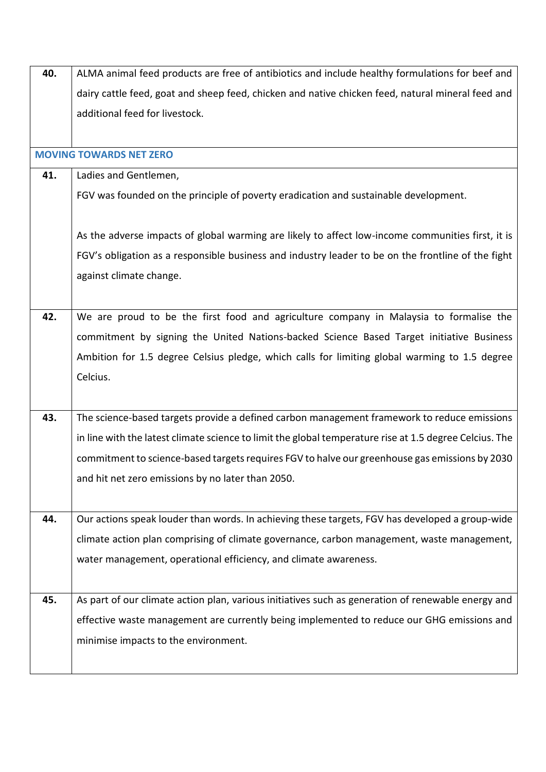| 40. | ALMA animal feed products are free of antibiotics and include healthy formulations for beef and         |
|-----|---------------------------------------------------------------------------------------------------------|
|     | dairy cattle feed, goat and sheep feed, chicken and native chicken feed, natural mineral feed and       |
|     | additional feed for livestock.                                                                          |
|     |                                                                                                         |
|     | <b>MOVING TOWARDS NET ZERO</b>                                                                          |
| 41. | Ladies and Gentlemen,                                                                                   |
|     | FGV was founded on the principle of poverty eradication and sustainable development.                    |
|     |                                                                                                         |
|     | As the adverse impacts of global warming are likely to affect low-income communities first, it is       |
|     | FGV's obligation as a responsible business and industry leader to be on the frontline of the fight      |
|     | against climate change.                                                                                 |
|     |                                                                                                         |
| 42. | We are proud to be the first food and agriculture company in Malaysia to formalise the                  |
|     | commitment by signing the United Nations-backed Science Based Target initiative Business                |
|     | Ambition for 1.5 degree Celsius pledge, which calls for limiting global warming to 1.5 degree           |
|     | Celcius.                                                                                                |
|     |                                                                                                         |
| 43. | The science-based targets provide a defined carbon management framework to reduce emissions             |
|     | in line with the latest climate science to limit the global temperature rise at 1.5 degree Celcius. The |
|     | commitment to science-based targets requires FGV to halve our greenhouse gas emissions by 2030          |
|     | and hit net zero emissions by no later than 2050.                                                       |
|     |                                                                                                         |
| 44. | Our actions speak louder than words. In achieving these targets, FGV has developed a group-wide         |
|     | climate action plan comprising of climate governance, carbon management, waste management,              |
|     |                                                                                                         |
|     | water management, operational efficiency, and climate awareness.                                        |
| 45. | As part of our climate action plan, various initiatives such as generation of renewable energy and      |
|     |                                                                                                         |
|     | effective waste management are currently being implemented to reduce our GHG emissions and              |
|     | minimise impacts to the environment.                                                                    |
|     |                                                                                                         |